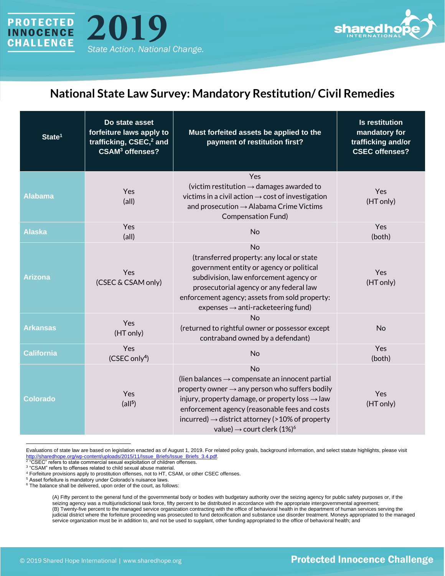



## **National State Law Survey: Mandatory Restitution/ Civil Remedies**

| State <sup>1</sup> | Do state asset<br>forfeiture laws apply to<br>trafficking, CSEC, <sup>2</sup> and<br><b>CSAM<sup>3</sup></b> offenses? | Must forfeited assets be applied to the<br>payment of restitution first?                                                                                                                                                                                                                                                                                             | <b>Is restitution</b><br>mandatory for<br>trafficking and/or<br><b>CSEC offenses?</b> |
|--------------------|------------------------------------------------------------------------------------------------------------------------|----------------------------------------------------------------------------------------------------------------------------------------------------------------------------------------------------------------------------------------------------------------------------------------------------------------------------------------------------------------------|---------------------------------------------------------------------------------------|
| <b>Alabama</b>     | Yes<br>$\text{(all)}$                                                                                                  | Yes<br>(victim restitution $\rightarrow$ damages awarded to<br>victims in a civil action $\rightarrow$ cost of investigation<br>and prosecution $\rightarrow$ Alabama Crime Victims<br><b>Compensation Fund)</b>                                                                                                                                                     | Yes<br>(HT only)                                                                      |
| <b>Alaska</b>      | Yes<br>(all)                                                                                                           | No                                                                                                                                                                                                                                                                                                                                                                   | Yes<br>(both)                                                                         |
| <b>Arizona</b>     | Yes<br>(CSEC & CSAM only)                                                                                              | No<br>(transferred property: any local or state<br>government entity or agency or political<br>subdivision, law enforcement agency or<br>prosecutorial agency or any federal law<br>enforcement agency; assets from sold property:<br>$expenses \rightarrow anti-racketering fund$                                                                                   | Yes<br>(HT only)                                                                      |
| <b>Arkansas</b>    | Yes<br>(HT only)                                                                                                       | No<br>(returned to rightful owner or possessor except<br>contraband owned by a defendant)                                                                                                                                                                                                                                                                            | <b>No</b>                                                                             |
| <b>California</b>  | Yes<br>(CSEC only <sup>4</sup> )                                                                                       | <b>No</b>                                                                                                                                                                                                                                                                                                                                                            | Yes<br>(both)                                                                         |
| <b>Colorado</b>    | Yes<br>$\left(\text{all}^{5}\right)$                                                                                   | No<br>(lien balances $\rightarrow$ compensate an innocent partial<br>property owner $\rightarrow$ any person who suffers bodily<br>injury, property damage, or property loss $\rightarrow$ law<br>enforcement agency (reasonable fees and costs<br>incurred) $\rightarrow$ district attorney (>10% of property<br>value) $\rightarrow$ court clerk (1%) <sup>6</sup> | Yes<br>(HT only)                                                                      |

Evaluations of state law are based on legislation enacted as of August 1, 2019. For related policy goals, background information, and select statute highlights, please visit [http://sharedhope.org/wp-content/uploads/2015/11/Issue\\_Briefs/Issue\\_Briefs\\_3.4.pdf.](http://sharedhope.org/wp-content/uploads/2015/11/Issue_Briefs/Issue_Briefs_3.4.pdf)<br><sup>2</sup> "CSEC" refers to state commercial sexual exploitation of children offenses.

<sup>3</sup> "CSAM" refers to offenses related to child sexual abuse material.

<sup>4</sup> Forfeiture provisions apply to prostitution offenses, not to HT, CSAM, or other CSEC offenses.

<sup>5</sup> Asset forfeiture is mandatory under Colorado's nuisance laws.

<sup>6</sup> The balance shall be delivered, upon order of the court, as follows:

(A) Fifty percent to the general fund of the governmental body or bodies with budgetary authority over the seizing agency for public safety purposes or, if the seizing agency was a multijurisdictional task force, fifty percent to be distributed in accordance with the appropriate intergovernmental agreement; (B) Twenty-five percent to the managed service organization contracting with the office of behavioral health in the department of human services serving the judicial district where the forfeiture proceeding was prosecuted to fund detoxification and substance use disorder treatment. Moneys appropriated to the managed service organization must be in addition to, and not be used to supplant, other funding appropriated to the office of behavioral health; and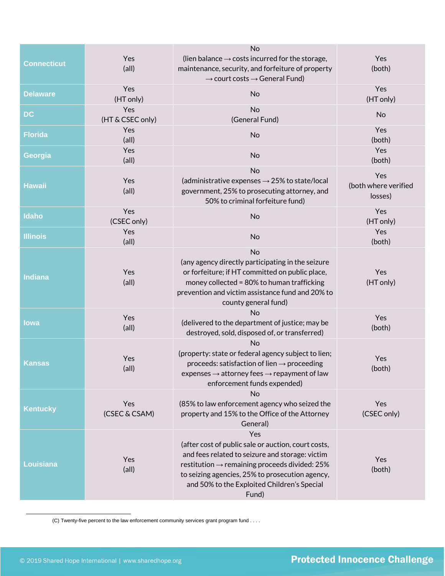| <b>Connecticut</b> | Yes<br>(all)            | No<br>(lien balance $\rightarrow$ costs incurred for the storage,<br>maintenance, security, and forfeiture of property<br>$\rightarrow$ court costs $\rightarrow$ General Fund)                                                                                                       | Yes<br>(both)                          |
|--------------------|-------------------------|---------------------------------------------------------------------------------------------------------------------------------------------------------------------------------------------------------------------------------------------------------------------------------------|----------------------------------------|
| <b>Delaware</b>    | Yes<br>(HT only)        | <b>No</b>                                                                                                                                                                                                                                                                             | Yes<br>(HT only)                       |
| <b>DC</b>          | Yes<br>(HT & CSEC only) | No<br>(General Fund)                                                                                                                                                                                                                                                                  | <b>No</b>                              |
| <b>Florida</b>     | Yes<br>(all)            | No                                                                                                                                                                                                                                                                                    | Yes<br>(both)                          |
| Georgia            | Yes<br>(all)            | <b>No</b>                                                                                                                                                                                                                                                                             | Yes<br>(both)                          |
| <b>Hawaii</b>      | Yes<br>(all)            | No<br>(administrative expenses $\rightarrow$ 25% to state/local<br>government, 25% to prosecuting attorney, and<br>50% to criminal forfeiture fund)                                                                                                                                   | Yes<br>(both where verified<br>losses) |
| Idaho              | Yes<br>(CSEC only)      | <b>No</b>                                                                                                                                                                                                                                                                             | Yes<br>(HT only)                       |
| <b>Illinois</b>    | Yes<br>(all)            | No                                                                                                                                                                                                                                                                                    | Yes<br>(both)                          |
| <b>Indiana</b>     | Yes<br>(all)            | No<br>(any agency directly participating in the seizure<br>or forfeiture; if HT committed on public place,<br>money collected = 80% to human trafficking<br>prevention and victim assistance fund and 20% to<br>county general fund)                                                  | Yes<br>(HT only)                       |
| lowa               | Yes<br>(all)            | No<br>(delivered to the department of justice; may be<br>destroyed, sold, disposed of, or transferred)                                                                                                                                                                                | Yes<br>(both)                          |
| <b>Kansas</b>      | Yes<br>(all)            | <b>No</b><br>(property: state or federal agency subject to lien;<br>proceeds: satisfaction of lien $\rightarrow$ proceeding<br>expenses $\rightarrow$ attorney fees $\rightarrow$ repayment of law<br>enforcement funds expended)                                                     | Yes<br>(both)                          |
| <b>Kentucky</b>    | Yes<br>(CSEC & CSAM)    | No<br>(85% to law enforcement agency who seized the<br>property and 15% to the Office of the Attorney<br>General)                                                                                                                                                                     | Yes<br>(CSEC only)                     |
| Louisiana          | Yes<br>(all)            | Yes<br>(after cost of public sale or auction, court costs,<br>and fees related to seizure and storage: victim<br>restitution $\rightarrow$ remaining proceeds divided: 25%<br>to seizing agencies, 25% to prosecution agency,<br>and 50% to the Exploited Children's Special<br>Fund) | Yes<br>(both)                          |

(C) Twenty-five percent to the law enforcement community services grant program fund . . . .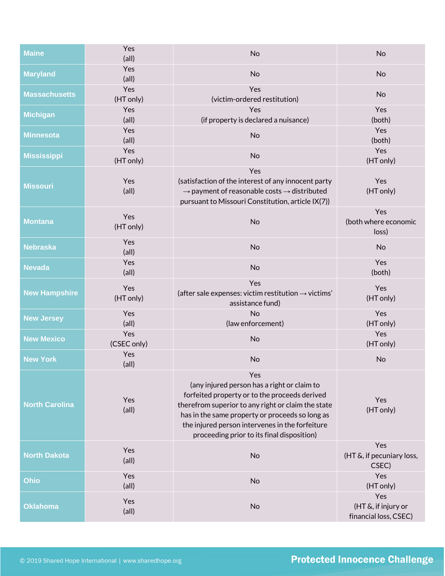| <b>Maine</b>          | Yes<br>(all)          | No                                                                                                                                                                                                                                                                                                            | <b>No</b>                                           |
|-----------------------|-----------------------|---------------------------------------------------------------------------------------------------------------------------------------------------------------------------------------------------------------------------------------------------------------------------------------------------------------|-----------------------------------------------------|
| <b>Maryland</b>       | Yes<br>(all)          | No                                                                                                                                                                                                                                                                                                            | <b>No</b>                                           |
| <b>Massachusetts</b>  | Yes<br>(HT only)      | Yes<br>(victim-ordered restitution)                                                                                                                                                                                                                                                                           | <b>No</b>                                           |
| <b>Michigan</b>       | Yes<br>$\text{(all)}$ | Yes<br>(if property is declared a nuisance)                                                                                                                                                                                                                                                                   | Yes<br>(both)                                       |
| <b>Minnesota</b>      | Yes<br>(all)          | No                                                                                                                                                                                                                                                                                                            | Yes<br>(both)                                       |
| <b>Mississippi</b>    | Yes<br>(HT only)      | No                                                                                                                                                                                                                                                                                                            | Yes<br>(HT only)                                    |
| <b>Missouri</b>       | Yes<br>(all)          | Yes<br>(satisfaction of the interest of any innocent party<br>$\rightarrow$ payment of reasonable costs $\rightarrow$ distributed<br>pursuant to Missouri Constitution, article IX(7))                                                                                                                        | Yes<br>(HT only)                                    |
| <b>Montana</b>        | Yes<br>(HT only)      | No                                                                                                                                                                                                                                                                                                            | Yes<br>(both where economic<br>loss)                |
| <b>Nebraska</b>       | Yes<br>(all)          | <b>No</b>                                                                                                                                                                                                                                                                                                     | <b>No</b>                                           |
| <b>Nevada</b>         | Yes<br>(all)          | No                                                                                                                                                                                                                                                                                                            | Yes<br>(both)                                       |
| <b>New Hampshire</b>  | Yes<br>(HT only)      | Yes<br>(after sale expenses: victim restitution $\rightarrow$ victims'<br>assistance fund)                                                                                                                                                                                                                    | Yes<br>(HT only)                                    |
| <b>New Jersey</b>     | Yes<br>(all)          | <b>No</b><br>(law enforcement)                                                                                                                                                                                                                                                                                | Yes<br>(HT only)                                    |
| <b>New Mexico</b>     | Yes<br>(CSEC only)    | No                                                                                                                                                                                                                                                                                                            | Yes<br>(HT only)                                    |
| <b>New York</b>       | Yes<br>(all)          | No                                                                                                                                                                                                                                                                                                            | No                                                  |
| <b>North Carolina</b> | Yes<br>(all)          | Yes<br>(any injured person has a right or claim to<br>forfeited property or to the proceeds derived<br>therefrom superior to any right or claim the state<br>has in the same property or proceeds so long as<br>the injured person intervenes in the forfeiture<br>proceeding prior to its final disposition) | Yes<br>(HT only)                                    |
| <b>North Dakota</b>   | Yes<br>$\text{(all)}$ | No                                                                                                                                                                                                                                                                                                            | Yes<br>(HT &, if pecuniary loss,<br>CSEC)           |
| Ohio                  | Yes<br>$\text{(all)}$ | No                                                                                                                                                                                                                                                                                                            | Yes<br>(HT only)                                    |
| <b>Oklahoma</b>       | Yes<br>$\text{(all)}$ | No                                                                                                                                                                                                                                                                                                            | Yes<br>(HT &, if injury or<br>financial loss, CSEC) |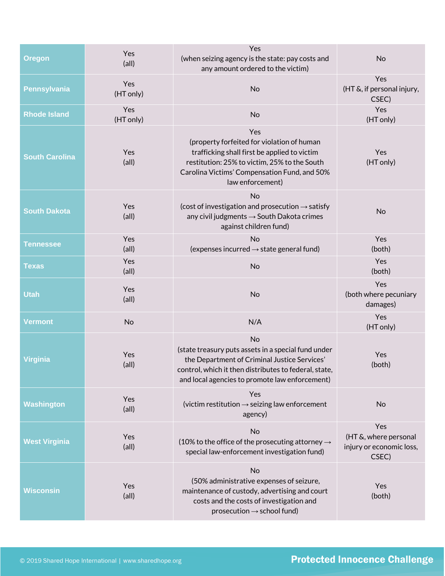| <b>Oregon</b>         | Yes<br>(all)     | Yes<br>(when seizing agency is the state: pay costs and<br>any amount ordered to the victim)                                                                                                                                | No                                                                |
|-----------------------|------------------|-----------------------------------------------------------------------------------------------------------------------------------------------------------------------------------------------------------------------------|-------------------------------------------------------------------|
| <b>Pennsylvania</b>   | Yes<br>(HT only) | No                                                                                                                                                                                                                          | Yes<br>(HT &, if personal injury,<br>CSEC)                        |
| <b>Rhode Island</b>   | Yes<br>(HT only) | No                                                                                                                                                                                                                          | Yes<br>(HT only)                                                  |
| <b>South Carolina</b> | Yes<br>(all)     | Yes<br>(property forfeited for violation of human<br>trafficking shall first be applied to victim<br>restitution: 25% to victim, 25% to the South<br>Carolina Victims' Compensation Fund, and 50%<br>law enforcement)       | Yes<br>(HT only)                                                  |
| <b>South Dakota</b>   | Yes<br>(all)     | <b>No</b><br>(cost of investigation and prosecution $\rightarrow$ satisfy<br>any civil judgments $\rightarrow$ South Dakota crimes<br>against children fund)                                                                | No                                                                |
| <b>Tennessee</b>      | Yes<br>(all)     | No<br>(expenses incurred $\rightarrow$ state general fund)                                                                                                                                                                  | Yes<br>(both)                                                     |
| <b>Texas</b>          | Yes<br>(all)     | No                                                                                                                                                                                                                          | Yes<br>(both)                                                     |
| <b>Utah</b>           | Yes<br>(all)     | No                                                                                                                                                                                                                          | Yes<br>(both where pecuniary<br>damages)                          |
| <b>Vermont</b>        | <b>No</b>        | N/A                                                                                                                                                                                                                         | Yes<br>(HT only)                                                  |
| <b>Virginia</b>       | Yes<br>(all)     | <b>No</b><br>(state treasury puts assets in a special fund under<br>the Department of Criminal Justice Services'<br>control, which it then distributes to federal, state,<br>and local agencies to promote law enforcement) | Yes<br>(both)                                                     |
| <b>Washington</b>     | Yes<br>(all)     | Yes<br>(victim restitution $\rightarrow$ seizing law enforcement<br>agency)                                                                                                                                                 | No                                                                |
| <b>West Virginia</b>  | Yes<br>(all)     | No<br>(10% to the office of the prosecuting attorney $\rightarrow$<br>special law-enforcement investigation fund)                                                                                                           | Yes<br>(HT &, where personal<br>injury or economic loss,<br>CSEC) |
| <b>Wisconsin</b>      | Yes<br>(all)     | No<br>(50% administrative expenses of seizure,<br>maintenance of custody, advertising and court<br>costs and the costs of investigation and<br>prosecution $\rightarrow$ school fund)                                       | Yes<br>(both)                                                     |